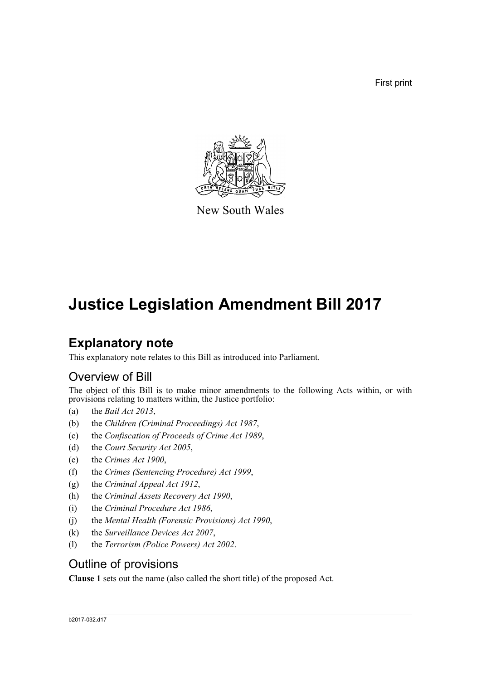First print



New South Wales

## **Justice Legislation Amendment Bill 2017**

### **Explanatory note**

This explanatory note relates to this Bill as introduced into Parliament.

### Overview of Bill

The object of this Bill is to make minor amendments to the following Acts within, or with provisions relating to matters within, the Justice portfolio:

- (a) the *Bail Act 2013*,
- (b) the *Children (Criminal Proceedings) Act 1987*,
- (c) the *Confiscation of Proceeds of Crime Act 1989*,
- (d) the *Court Security Act 2005*,
- (e) the *Crimes Act 1900*,
- (f) the *Crimes (Sentencing Procedure) Act 1999*,
- (g) the *Criminal Appeal Act 1912*,
- (h) the *Criminal Assets Recovery Act 1990*,
- (i) the *Criminal Procedure Act 1986*,
- (j) the *Mental Health (Forensic Provisions) Act 1990*,
- (k) the *Surveillance Devices Act 2007*,
- (l) the *Terrorism (Police Powers) Act 2002*.

#### Outline of provisions

**Clause 1** sets out the name (also called the short title) of the proposed Act.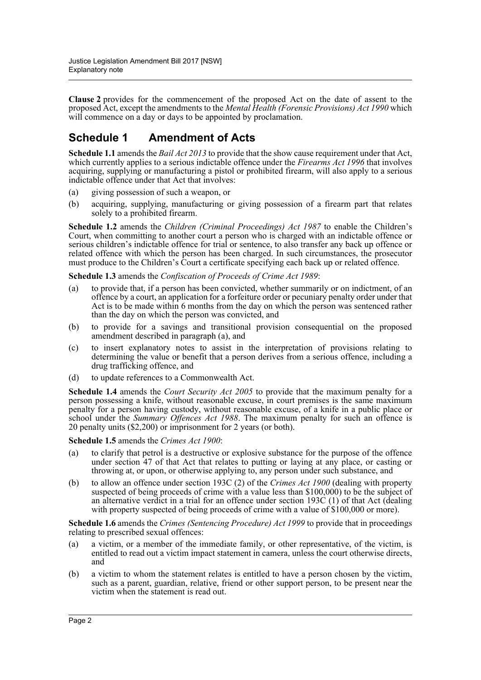**Clause 2** provides for the commencement of the proposed Act on the date of assent to the proposed Act, except the amendments to the *Mental Health (Forensic Provisions) Act 1990* which will commence on a day or days to be appointed by proclamation.

#### **Schedule 1 Amendment of Acts**

**Schedule 1.1** amends the *Bail Act 2013* to provide that the show cause requirement under that Act, which currently applies to a serious indictable offence under the *Firearms Act 1996* that involves acquiring, supplying or manufacturing a pistol or prohibited firearm, will also apply to a serious indictable offence under that Act that involves:

- (a) giving possession of such a weapon, or
- (b) acquiring, supplying, manufacturing or giving possession of a firearm part that relates solely to a prohibited firearm.

**Schedule 1.2** amends the *Children (Criminal Proceedings) Act 1987* to enable the Children's Court, when committing to another court a person who is charged with an indictable offence or serious children's indictable offence for trial or sentence, to also transfer any back up offence or related offence with which the person has been charged. In such circumstances, the prosecutor must produce to the Children's Court a certificate specifying each back up or related offence.

**Schedule 1.3** amends the *Confiscation of Proceeds of Crime Act 1989*:

- (a) to provide that, if a person has been convicted, whether summarily or on indictment, of an offence by a court, an application for a forfeiture order or pecuniary penalty order under that Act is to be made within 6 months from the day on which the person was sentenced rather than the day on which the person was convicted, and
- (b) to provide for a savings and transitional provision consequential on the proposed amendment described in paragraph (a), and
- (c) to insert explanatory notes to assist in the interpretation of provisions relating to determining the value or benefit that a person derives from a serious offence, including a drug trafficking offence, and
- (d) to update references to a Commonwealth Act.

**Schedule 1.4** amends the *Court Security Act 2005* to provide that the maximum penalty for a person possessing a knife, without reasonable excuse, in court premises is the same maximum penalty for a person having custody, without reasonable excuse, of a knife in a public place or school under the *Summary Offences Act 1988*. The maximum penalty for such an offence is 20 penalty units (\$2,200) or imprisonment for 2 years (or both).

**Schedule 1.5** amends the *Crimes Act 1900*:

- (a) to clarify that petrol is a destructive or explosive substance for the purpose of the offence under section 47 of that Act that relates to putting or laying at any place, or casting or throwing at, or upon, or otherwise applying to, any person under such substance, and
- (b) to allow an offence under section 193C (2) of the *Crimes Act 1900* (dealing with property suspected of being proceeds of crime with a value less than \$100,000) to be the subject of an alternative verdict in a trial for an offence under section 193C (1) of that Act (dealing with property suspected of being proceeds of crime with a value of \$100,000 or more).

**Schedule 1.6** amends the *Crimes (Sentencing Procedure) Act 1999* to provide that in proceedings relating to prescribed sexual offences:

- (a) a victim, or a member of the immediate family, or other representative, of the victim, is entitled to read out a victim impact statement in camera, unless the court otherwise directs, and
- (b) a victim to whom the statement relates is entitled to have a person chosen by the victim, such as a parent, guardian, relative, friend or other support person, to be present near the victim when the statement is read out.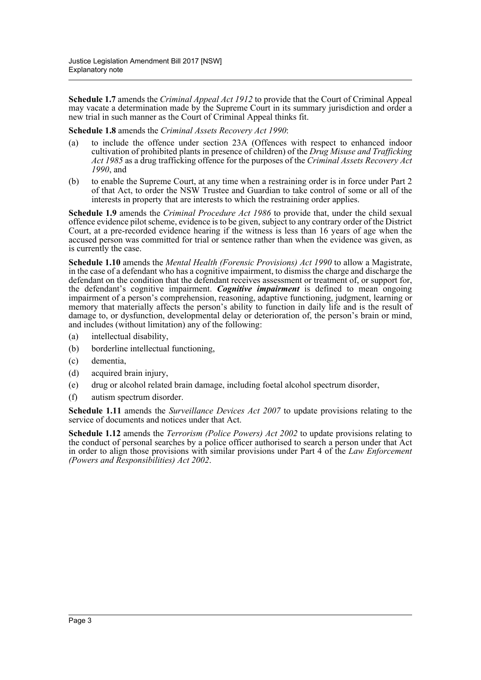**Schedule 1.7** amends the *Criminal Appeal Act 1912* to provide that the Court of Criminal Appeal may vacate a determination made by the Supreme Court in its summary jurisdiction and order a new trial in such manner as the Court of Criminal Appeal thinks fit.

**Schedule 1.8** amends the *Criminal Assets Recovery Act 1990*:

- (a) to include the offence under section 23A (Offences with respect to enhanced indoor cultivation of prohibited plants in presence of children) of the *Drug Misuse and Trafficking Act 1985* as a drug trafficking offence for the purposes of the *Criminal Assets Recovery Act 1990*, and
- (b) to enable the Supreme Court, at any time when a restraining order is in force under Part 2 of that Act, to order the NSW Trustee and Guardian to take control of some or all of the interests in property that are interests to which the restraining order applies.

**Schedule 1.9** amends the *Criminal Procedure Act 1986* to provide that, under the child sexual offence evidence pilot scheme, evidence is to be given, subject to any contrary order of the District Court, at a pre-recorded evidence hearing if the witness is less than 16 years of age when the accused person was committed for trial or sentence rather than when the evidence was given, as is currently the case.

**Schedule 1.10** amends the *Mental Health (Forensic Provisions) Act 1990* to allow a Magistrate, in the case of a defendant who has a cognitive impairment, to dismiss the charge and discharge the defendant on the condition that the defendant receives assessment or treatment of, or support for, the defendant's cognitive impairment. *Cognitive impairment* is defined to mean ongoing impairment of a person's comprehension, reasoning, adaptive functioning, judgment, learning or memory that materially affects the person's ability to function in daily life and is the result of damage to, or dysfunction, developmental delay or deterioration of, the person's brain or mind, and includes (without limitation) any of the following:

- (a) intellectual disability,
- (b) borderline intellectual functioning,
- (c) dementia,
- (d) acquired brain injury,
- (e) drug or alcohol related brain damage, including foetal alcohol spectrum disorder,
- (f) autism spectrum disorder.

**Schedule 1.11** amends the *Surveillance Devices Act 2007* to update provisions relating to the service of documents and notices under that Act.

**Schedule 1.12** amends the *Terrorism (Police Powers) Act 2002* to update provisions relating to the conduct of personal searches by a police officer authorised to search a person under that Act in order to align those provisions with similar provisions under Part 4 of the *Law Enforcement (Powers and Responsibilities) Act 2002*.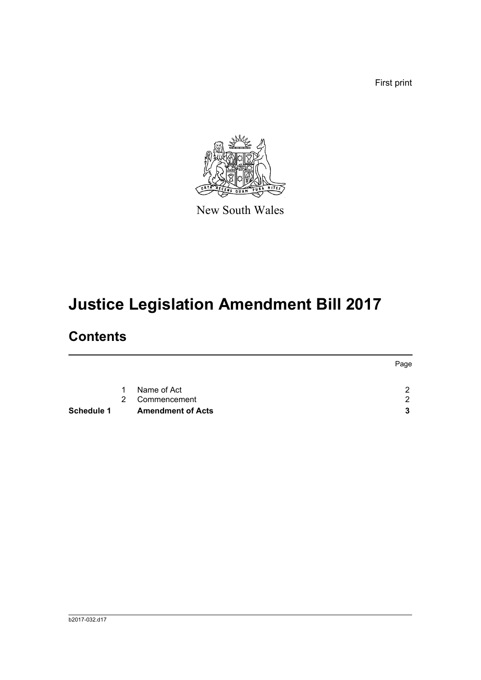First print



New South Wales

# **Justice Legislation Amendment Bill 2017**

### **Contents**

|            |           |                          | Page                 |
|------------|-----------|--------------------------|----------------------|
|            | $1 \quad$ | Name of Act              | $\mathcal{P}$        |
|            | 2         | Commencement             | $\mathcal{P} \equiv$ |
| Schedule 1 |           | <b>Amendment of Acts</b> | 3                    |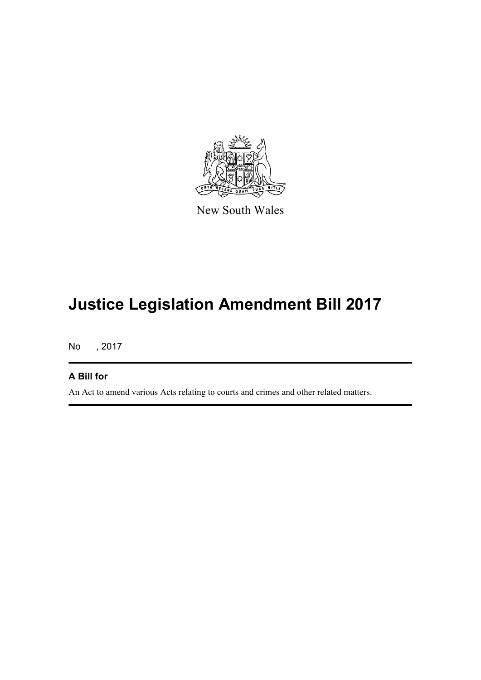

New South Wales

## **Justice Legislation Amendment Bill 2017**

No , 2017

#### **A Bill for**

An Act to amend various Acts relating to courts and crimes and other related matters.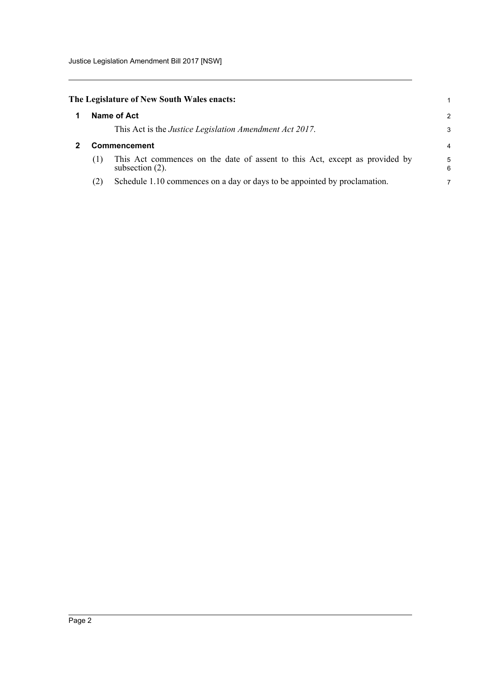<span id="page-5-1"></span><span id="page-5-0"></span>

|              | The Legislature of New South Wales enacts:                                                        |        |
|--------------|---------------------------------------------------------------------------------------------------|--------|
|              | Name of Act                                                                                       | 2      |
|              | This Act is the Justice Legislation Amendment Act 2017.                                           | 3      |
| Commencement |                                                                                                   |        |
| (1)          | This Act commences on the date of assent to this Act, except as provided by<br>subsection $(2)$ . | 5<br>6 |
| (2)          | Schedule 1.10 commences on a day or days to be appointed by proclamation.                         | 7      |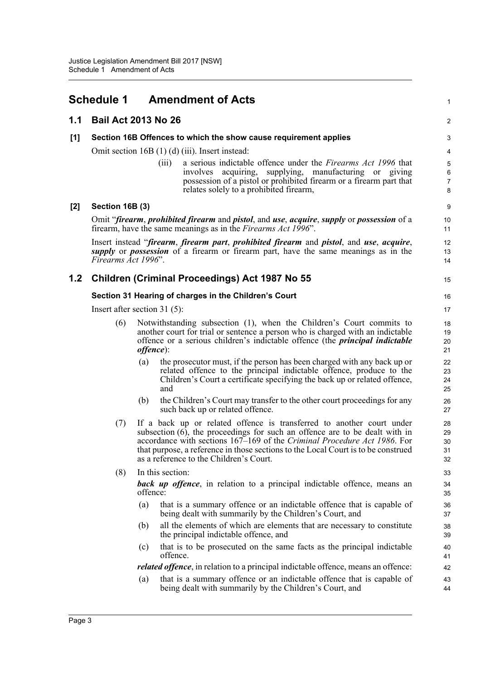<span id="page-6-0"></span>

|     | <b>Schedule 1</b>                                     |                   | <b>Amendment of Acts</b>                                                                                                                                                                                                                                                                                                                                            | $\mathbf{1}$                                 |  |  |  |
|-----|-------------------------------------------------------|-------------------|---------------------------------------------------------------------------------------------------------------------------------------------------------------------------------------------------------------------------------------------------------------------------------------------------------------------------------------------------------------------|----------------------------------------------|--|--|--|
| 1.1 | <b>Bail Act 2013 No 26</b>                            |                   |                                                                                                                                                                                                                                                                                                                                                                     | $\overline{c}$                               |  |  |  |
| [1] |                                                       |                   | Section 16B Offences to which the show cause requirement applies                                                                                                                                                                                                                                                                                                    | 3                                            |  |  |  |
|     |                                                       |                   | Omit section $16B(1)(d)(iii)$ . Insert instead:<br>a serious indictable offence under the Firearms Act 1996 that<br>(iii)<br>supplying, manufacturing or giving<br>involves<br>acquiring,<br>possession of a pistol or prohibited firearm or a firearm part that<br>relates solely to a prohibited firearm,                                                         | 4<br>$\mathbf 5$<br>6<br>$\overline{7}$<br>8 |  |  |  |
| [2] | Section 16B (3)                                       |                   |                                                                                                                                                                                                                                                                                                                                                                     | $\boldsymbol{9}$                             |  |  |  |
|     |                                                       |                   | Omit "firearm, prohibited firearm and pistol, and use, acquire, supply or possession of a<br>firearm, have the same meanings as in the <i>Firearms Act 1996</i> ".                                                                                                                                                                                                  | 10<br>11                                     |  |  |  |
|     | Firearms Act 1996".                                   |                   | Insert instead "firearm, firearm part, prohibited firearm and pistol, and use, acquire,<br><i>supply</i> or <i>possession</i> of a firearm or firearm part, have the same meanings as in the                                                                                                                                                                        | 12<br>13<br>14                               |  |  |  |
| 1.2 |                                                       |                   | Children (Criminal Proceedings) Act 1987 No 55                                                                                                                                                                                                                                                                                                                      | 15                                           |  |  |  |
|     | Section 31 Hearing of charges in the Children's Court |                   |                                                                                                                                                                                                                                                                                                                                                                     |                                              |  |  |  |
|     | Insert after section 31 $(5)$ :                       |                   |                                                                                                                                                                                                                                                                                                                                                                     | 17                                           |  |  |  |
|     | (6)                                                   | <i>offence</i> ): | Notwithstanding subsection (1), when the Children's Court commits to<br>another court for trial or sentence a person who is charged with an indictable<br>offence or a serious children's indictable offence (the <i>principal indictable</i>                                                                                                                       | 18<br>19<br>20<br>21                         |  |  |  |
|     |                                                       | (a)               | the prosecutor must, if the person has been charged with any back up or<br>related offence to the principal indictable offence, produce to the<br>Children's Court a certificate specifying the back up or related offence,<br>and                                                                                                                                  | 22<br>23<br>24<br>25                         |  |  |  |
|     |                                                       | (b)               | the Children's Court may transfer to the other court proceedings for any<br>such back up or related offence.                                                                                                                                                                                                                                                        | 26<br>27                                     |  |  |  |
|     | (7)                                                   |                   | If a back up or related offence is transferred to another court under<br>subsection $(6)$ , the proceedings for such an offence are to be dealt with in<br>accordance with sections 167–169 of the Criminal Procedure Act 1986. For<br>that purpose, a reference in those sections to the Local Court is to be construed<br>as a reference to the Children's Court. | 28<br>29<br>30<br>31<br>32                   |  |  |  |
|     | (8)                                                   |                   | In this section:                                                                                                                                                                                                                                                                                                                                                    | 33                                           |  |  |  |
|     |                                                       | offence:          | <b>back up offence</b> , in relation to a principal indictable offence, means an                                                                                                                                                                                                                                                                                    | 34<br>35                                     |  |  |  |
|     |                                                       | (a)               | that is a summary offence or an indictable offence that is capable of<br>being dealt with summarily by the Children's Court, and                                                                                                                                                                                                                                    | 36<br>37                                     |  |  |  |
|     |                                                       | (b)               | all the elements of which are elements that are necessary to constitute<br>the principal indictable offence, and                                                                                                                                                                                                                                                    | 38<br>39                                     |  |  |  |
|     |                                                       | (c)               | that is to be prosecuted on the same facts as the principal indictable<br>offence.                                                                                                                                                                                                                                                                                  | 40<br>41                                     |  |  |  |
|     |                                                       |                   | <i>related offence</i> , in relation to a principal indictable offence, means an offence:                                                                                                                                                                                                                                                                           | 42                                           |  |  |  |
|     |                                                       | (a)               | that is a summary offence or an indictable offence that is capable of<br>being dealt with summarily by the Children's Court, and                                                                                                                                                                                                                                    | 43<br>44                                     |  |  |  |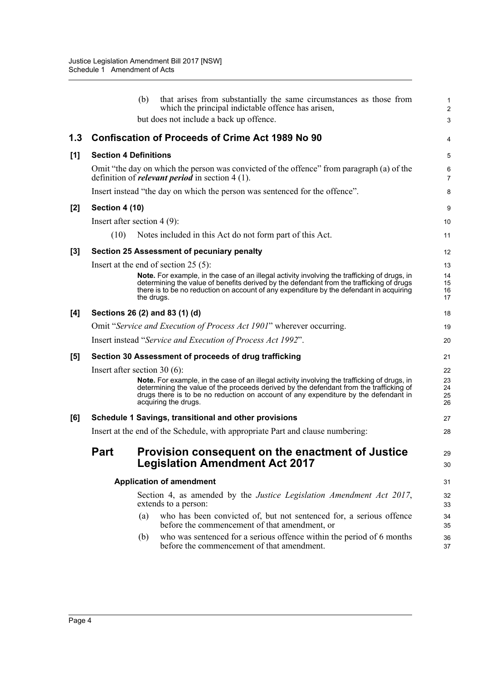|     |                                                             | that arises from substantially the same circumstances as those from<br>(b)<br>which the principal indictable offence has arisen,                                                                                                                                                                      | $\mathbf{1}$<br>$\overline{2}$ |  |  |  |
|-----|-------------------------------------------------------------|-------------------------------------------------------------------------------------------------------------------------------------------------------------------------------------------------------------------------------------------------------------------------------------------------------|--------------------------------|--|--|--|
|     |                                                             | but does not include a back up offence.                                                                                                                                                                                                                                                               | 3                              |  |  |  |
| 1.3 |                                                             | <b>Confiscation of Proceeds of Crime Act 1989 No 90</b>                                                                                                                                                                                                                                               | 4                              |  |  |  |
| [1] | <b>Section 4 Definitions</b>                                |                                                                                                                                                                                                                                                                                                       |                                |  |  |  |
|     |                                                             | Omit "the day on which the person was convicted of the offence" from paragraph (a) of the<br>definition of <i>relevant period</i> in section 4 (1).                                                                                                                                                   | 6<br>$\overline{7}$            |  |  |  |
|     |                                                             | Insert instead "the day on which the person was sentenced for the offence".                                                                                                                                                                                                                           | 8                              |  |  |  |
| [2] | Section 4 (10)                                              |                                                                                                                                                                                                                                                                                                       | 9                              |  |  |  |
|     |                                                             | Insert after section $4(9)$ :                                                                                                                                                                                                                                                                         | 10                             |  |  |  |
|     | (10)                                                        | Notes included in this Act do not form part of this Act.                                                                                                                                                                                                                                              | 11                             |  |  |  |
| [3] |                                                             | Section 25 Assessment of pecuniary penalty                                                                                                                                                                                                                                                            | 12                             |  |  |  |
|     |                                                             | Insert at the end of section $25(5)$ :                                                                                                                                                                                                                                                                | 13                             |  |  |  |
|     |                                                             | Note. For example, in the case of an illegal activity involving the trafficking of drugs, in<br>determining the value of benefits derived by the defendant from the trafficking of drugs<br>there is to be no reduction on account of any expenditure by the defendant in acquiring<br>the drugs.     | 14<br>15<br>16<br>17           |  |  |  |
| [4] | Sections 26 (2) and 83 (1) (d)                              |                                                                                                                                                                                                                                                                                                       |                                |  |  |  |
|     |                                                             | Omit "Service and Execution of Process Act 1901" wherever occurring.                                                                                                                                                                                                                                  | 19                             |  |  |  |
|     | Insert instead "Service and Execution of Process Act 1992". |                                                                                                                                                                                                                                                                                                       |                                |  |  |  |
| [5] | Section 30 Assessment of proceeds of drug trafficking       |                                                                                                                                                                                                                                                                                                       |                                |  |  |  |
|     |                                                             | Insert after section 30 $(6)$ :                                                                                                                                                                                                                                                                       | 22                             |  |  |  |
|     |                                                             | Note. For example, in the case of an illegal activity involving the trafficking of drugs, in<br>determining the value of the proceeds derived by the defendant from the trafficking of<br>drugs there is to be no reduction on account of any expenditure by the defendant in<br>acquiring the drugs. | 23<br>24<br>25<br>26           |  |  |  |
| [6] | Schedule 1 Savings, transitional and other provisions       |                                                                                                                                                                                                                                                                                                       |                                |  |  |  |
|     |                                                             | Insert at the end of the Schedule, with appropriate Part and clause numbering:                                                                                                                                                                                                                        | 28                             |  |  |  |
|     | Part                                                        | Provision consequent on the enactment of Justice<br><b>Legislation Amendment Act 2017</b>                                                                                                                                                                                                             | 29<br>30                       |  |  |  |
|     |                                                             | <b>Application of amendment</b>                                                                                                                                                                                                                                                                       | 31                             |  |  |  |
|     |                                                             | Section 4, as amended by the <i>Justice Legislation Amendment Act 2017</i> ,<br>extends to a person:                                                                                                                                                                                                  |                                |  |  |  |
|     |                                                             | who has been convicted of, but not sentenced for, a serious offence<br>(a)<br>before the commencement of that amendment, or                                                                                                                                                                           | 34<br>35                       |  |  |  |
|     |                                                             | who was sentenced for a serious offence within the period of 6 months<br>(b)<br>before the commencement of that amendment.                                                                                                                                                                            | 36<br>37                       |  |  |  |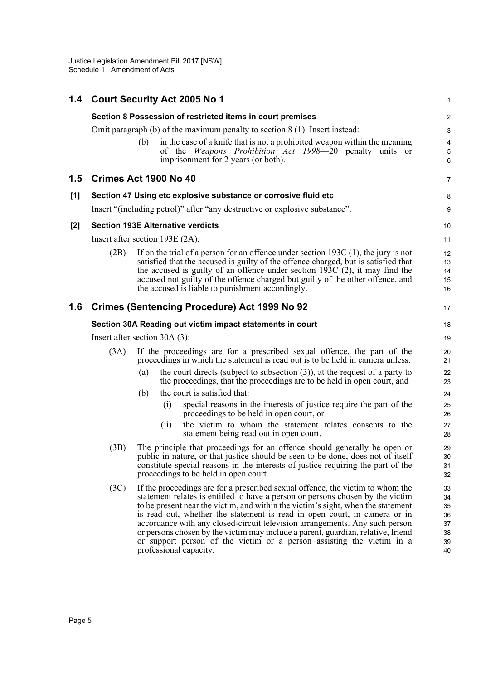|     |                                                                                 | 1.4 Court Security Act 2005 No 1                                                                                                                                                                                                                                                                                                                                                                                                                                                                                                                                                                        | 1                          |  |  |  |  |
|-----|---------------------------------------------------------------------------------|---------------------------------------------------------------------------------------------------------------------------------------------------------------------------------------------------------------------------------------------------------------------------------------------------------------------------------------------------------------------------------------------------------------------------------------------------------------------------------------------------------------------------------------------------------------------------------------------------------|----------------------------|--|--|--|--|
|     | Section 8 Possession of restricted items in court premises                      |                                                                                                                                                                                                                                                                                                                                                                                                                                                                                                                                                                                                         |                            |  |  |  |  |
|     | Omit paragraph $(b)$ of the maximum penalty to section $8(1)$ . Insert instead: |                                                                                                                                                                                                                                                                                                                                                                                                                                                                                                                                                                                                         |                            |  |  |  |  |
|     |                                                                                 | in the case of a knife that is not a prohibited weapon within the meaning<br>(b)<br>of the <i>Weapons Prohibition Act 1998</i> —20 penalty units or<br>imprisonment for 2 years (or both).                                                                                                                                                                                                                                                                                                                                                                                                              | 4<br>5<br>6                |  |  |  |  |
| 1.5 |                                                                                 | Crimes Act 1900 No 40                                                                                                                                                                                                                                                                                                                                                                                                                                                                                                                                                                                   | 7                          |  |  |  |  |
| [1] |                                                                                 | Section 47 Using etc explosive substance or corrosive fluid etc                                                                                                                                                                                                                                                                                                                                                                                                                                                                                                                                         | 8                          |  |  |  |  |
|     |                                                                                 | Insert "(including petrol)" after "any destructive or explosive substance".                                                                                                                                                                                                                                                                                                                                                                                                                                                                                                                             | 9                          |  |  |  |  |
| [2] |                                                                                 | <b>Section 193E Alternative verdicts</b>                                                                                                                                                                                                                                                                                                                                                                                                                                                                                                                                                                | 10                         |  |  |  |  |
|     |                                                                                 | Insert after section $193E(2A)$ :                                                                                                                                                                                                                                                                                                                                                                                                                                                                                                                                                                       | 11                         |  |  |  |  |
|     | (2B)                                                                            | If on the trial of a person for an offence under section $193C(1)$ , the jury is not<br>satisfied that the accused is guilty of the offence charged, but is satisfied that<br>the accused is guilty of an offence under section $193C$ (2), it may find the<br>accused not guilty of the offence charged but guilty of the other offence, and<br>the accused is liable to punishment accordingly.                                                                                                                                                                                                       | 12<br>13<br>14<br>15<br>16 |  |  |  |  |
| 1.6 |                                                                                 | <b>Crimes (Sentencing Procedure) Act 1999 No 92</b>                                                                                                                                                                                                                                                                                                                                                                                                                                                                                                                                                     | 17                         |  |  |  |  |
|     | Section 30A Reading out victim impact statements in court                       |                                                                                                                                                                                                                                                                                                                                                                                                                                                                                                                                                                                                         |                            |  |  |  |  |
|     | Insert after section $30A(3)$ :                                                 |                                                                                                                                                                                                                                                                                                                                                                                                                                                                                                                                                                                                         |                            |  |  |  |  |
|     | (3A)                                                                            | If the proceedings are for a prescribed sexual offence, the part of the<br>proceedings in which the statement is read out is to be held in camera unless:                                                                                                                                                                                                                                                                                                                                                                                                                                               | 20<br>21                   |  |  |  |  |
|     |                                                                                 | the court directs (subject to subsection $(3)$ ), at the request of a party to<br>(a)<br>the proceedings, that the proceedings are to be held in open court, and                                                                                                                                                                                                                                                                                                                                                                                                                                        | 22<br>23                   |  |  |  |  |
|     |                                                                                 | the court is satisfied that:<br>(b)                                                                                                                                                                                                                                                                                                                                                                                                                                                                                                                                                                     | 24                         |  |  |  |  |
|     |                                                                                 | special reasons in the interests of justice require the part of the<br>(i)<br>proceedings to be held in open court, or                                                                                                                                                                                                                                                                                                                                                                                                                                                                                  | 25<br>26                   |  |  |  |  |
|     |                                                                                 | the victim to whom the statement relates consents to the<br>(i)<br>statement being read out in open court.                                                                                                                                                                                                                                                                                                                                                                                                                                                                                              | 27<br>28                   |  |  |  |  |
|     | (3B)                                                                            | The principle that proceedings for an offence should generally be open or<br>public in nature, or that justice should be seen to be done, does not of itself<br>constitute special reasons in the interests of justice requiring the part of the<br>proceedings to be held in open court.                                                                                                                                                                                                                                                                                                               | 29<br>30<br>31<br>32       |  |  |  |  |
|     | (3C)                                                                            | If the proceedings are for a prescribed sexual offence, the victim to whom the<br>statement relates is entitled to have a person or persons chosen by the victim<br>to be present near the victim, and within the victim's sight, when the statement<br>is read out, whether the statement is read in open court, in camera or in<br>accordance with any closed-circuit television arrangements. Any such person<br>or persons chosen by the victim may include a parent, guardian, relative, friend<br>or support person of the victim or a person assisting the victim in a<br>professional capacity. |                            |  |  |  |  |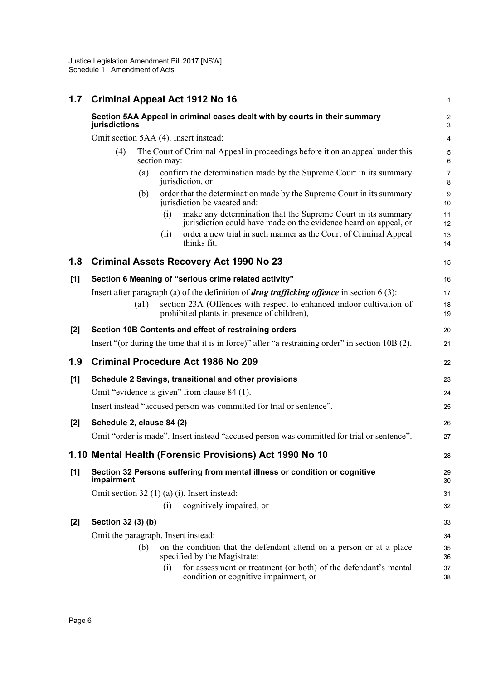| 1.7   | <b>Criminal Appeal Act 1912 No 16</b>                                                       |      |              |                                                                                                                                  | $\mathbf{1}$        |  |  |
|-------|---------------------------------------------------------------------------------------------|------|--------------|----------------------------------------------------------------------------------------------------------------------------------|---------------------|--|--|
|       | Section 5AA Appeal in criminal cases dealt with by courts in their summary<br>jurisdictions |      |              |                                                                                                                                  |                     |  |  |
|       |                                                                                             |      |              | Omit section 5AA (4). Insert instead:                                                                                            | 4                   |  |  |
|       | (4)                                                                                         |      | section may: | The Court of Criminal Appeal in proceedings before it on an appeal under this                                                    | 5<br>6              |  |  |
|       |                                                                                             | (a)  |              | confirm the determination made by the Supreme Court in its summary<br>jurisdiction, or                                           | $\overline{7}$<br>8 |  |  |
|       |                                                                                             | (b)  |              | order that the determination made by the Supreme Court in its summary<br>jurisdiction be vacated and:                            | 9<br>10             |  |  |
|       |                                                                                             |      | (i)          | make any determination that the Supreme Court in its summary<br>jurisdiction could have made on the evidence heard on appeal, or | 11<br>12            |  |  |
|       |                                                                                             |      | (ii)         | order a new trial in such manner as the Court of Criminal Appeal<br>thinks fit.                                                  | 13<br>14            |  |  |
| 1.8   |                                                                                             |      |              | <b>Criminal Assets Recovery Act 1990 No 23</b>                                                                                   | 15                  |  |  |
| [1]   |                                                                                             |      |              | Section 6 Meaning of "serious crime related activity"                                                                            | 16                  |  |  |
|       |                                                                                             |      |              | Insert after paragraph (a) of the definition of <i>drug trafficking offence</i> in section $6(3)$ :                              | 17                  |  |  |
|       |                                                                                             | (a1) |              | section 23A (Offences with respect to enhanced indoor cultivation of<br>prohibited plants in presence of children),              | 18<br>19            |  |  |
| $[2]$ |                                                                                             |      |              | Section 10B Contents and effect of restraining orders                                                                            | 20                  |  |  |
|       |                                                                                             |      |              | Insert "(or during the time that it is in force)" after "a restraining order" in section 10B (2).                                | 21                  |  |  |
| 1.9   |                                                                                             |      |              | <b>Criminal Procedure Act 1986 No 209</b>                                                                                        | 22                  |  |  |
| [1]   |                                                                                             |      |              | Schedule 2 Savings, transitional and other provisions                                                                            | 23                  |  |  |
|       |                                                                                             |      |              | Omit "evidence is given" from clause 84 (1).                                                                                     | 24                  |  |  |
|       |                                                                                             |      |              | Insert instead "accused person was committed for trial or sentence".                                                             | 25                  |  |  |
| $[2]$ | Schedule 2, clause 84 (2)                                                                   |      |              |                                                                                                                                  | 26                  |  |  |
|       |                                                                                             |      |              | Omit "order is made". Insert instead "accused person was committed for trial or sentence".                                       | 27                  |  |  |
|       |                                                                                             |      |              | 1.10 Mental Health (Forensic Provisions) Act 1990 No 10                                                                          | 28                  |  |  |
| [1]   | impairment                                                                                  |      |              | Section 32 Persons suffering from mental illness or condition or cognitive                                                       | 29<br>30            |  |  |
|       |                                                                                             |      |              | Omit section $32(1)(a)(i)$ . Insert instead:                                                                                     | 31                  |  |  |
|       |                                                                                             |      | (i)          | cognitively impaired, or                                                                                                         | 32                  |  |  |
| $[2]$ | Section 32 (3) (b)                                                                          |      |              |                                                                                                                                  | 33                  |  |  |
|       | Omit the paragraph. Insert instead:                                                         |      |              |                                                                                                                                  | 34                  |  |  |
|       |                                                                                             | (b)  |              | on the condition that the defendant attend on a person or at a place<br>specified by the Magistrate:                             | 35<br>36            |  |  |
|       |                                                                                             |      | (i)          | for assessment or treatment (or both) of the defendant's mental<br>condition or cognitive impairment, or                         | 37<br>38            |  |  |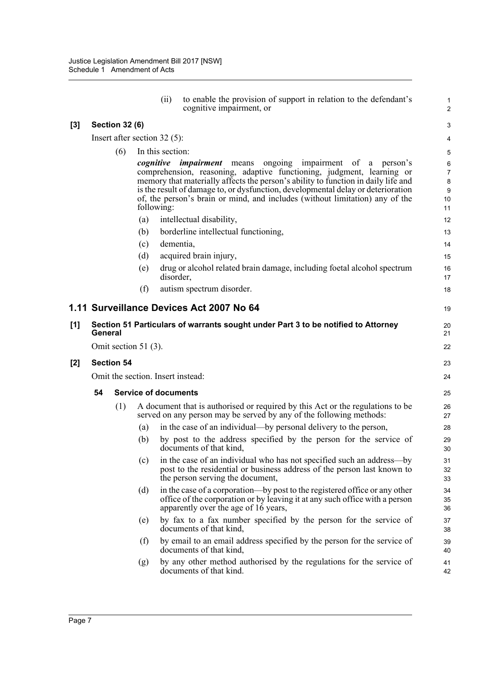|     |         |                       | (ii)                              | to enable the provision of support in relation to the defendant's<br>cognitive impairment, or                                                                                                                                                                                                                                                                                                                 | 1<br>$\overline{2}$                       |
|-----|---------|-----------------------|-----------------------------------|---------------------------------------------------------------------------------------------------------------------------------------------------------------------------------------------------------------------------------------------------------------------------------------------------------------------------------------------------------------------------------------------------------------|-------------------------------------------|
| [3] |         | <b>Section 32 (6)</b> |                                   |                                                                                                                                                                                                                                                                                                                                                                                                               | 3                                         |
|     |         |                       | Insert after section 32 $(5)$ :   |                                                                                                                                                                                                                                                                                                                                                                                                               | 4                                         |
|     |         | (6)                   | In this section:                  |                                                                                                                                                                                                                                                                                                                                                                                                               | 5                                         |
|     |         |                       | following:                        | <i>cognitive impairment</i> means<br>ongoing impairment of<br>person's<br>a<br>comprehension, reasoning, adaptive functioning, judgment, learning or<br>memory that materially affects the person's ability to function in daily life and<br>is the result of damage to, or dysfunction, developmental delay or deterioration<br>of, the person's brain or mind, and includes (without limitation) any of the | 6<br>$\overline{7}$<br>8<br>9<br>10<br>11 |
|     |         |                       | (a)                               | intellectual disability,                                                                                                                                                                                                                                                                                                                                                                                      | 12                                        |
|     |         |                       | (b)                               | borderline intellectual functioning,                                                                                                                                                                                                                                                                                                                                                                          | 13                                        |
|     |         |                       | (c)                               | dementia,                                                                                                                                                                                                                                                                                                                                                                                                     | 14                                        |
|     |         |                       | (d)                               | acquired brain injury,                                                                                                                                                                                                                                                                                                                                                                                        | 15                                        |
|     |         |                       | (e)<br>disorder,                  | drug or alcohol related brain damage, including foetal alcohol spectrum                                                                                                                                                                                                                                                                                                                                       | 16<br>17                                  |
|     |         |                       | (f)                               | autism spectrum disorder.                                                                                                                                                                                                                                                                                                                                                                                     | 18                                        |
|     |         |                       |                                   | 1.11 Surveillance Devices Act 2007 No 64                                                                                                                                                                                                                                                                                                                                                                      | 19                                        |
| [1] | General |                       |                                   | Section 51 Particulars of warrants sought under Part 3 to be notified to Attorney                                                                                                                                                                                                                                                                                                                             | 20<br>21                                  |
|     |         |                       | Omit section 51 $(3)$ .           |                                                                                                                                                                                                                                                                                                                                                                                                               | 22                                        |
| [2] |         | <b>Section 54</b>     |                                   |                                                                                                                                                                                                                                                                                                                                                                                                               | 23                                        |
|     |         |                       | Omit the section. Insert instead: |                                                                                                                                                                                                                                                                                                                                                                                                               | 24                                        |
|     | 54      |                       | <b>Service of documents</b>       |                                                                                                                                                                                                                                                                                                                                                                                                               | 25                                        |
|     |         | (1)                   | (a)                               | A document that is authorised or required by this Act or the regulations to be<br>served on any person may be served by any of the following methods:<br>in the case of an individual—by personal delivery to the person,                                                                                                                                                                                     | 26<br>27<br>28                            |
|     |         |                       | (b)                               | by post to the address specified by the person for the service of<br>documents of that kind,                                                                                                                                                                                                                                                                                                                  | 29<br>30                                  |
|     |         |                       | (c)                               | in the case of an individual who has not specified such an address—by<br>post to the residential or business address of the person last known to<br>the person serving the document,                                                                                                                                                                                                                          | 31<br>32<br>33                            |
|     |         |                       | (d)                               | in the case of a corporation—by post to the registered office or any other<br>office of the corporation or by leaving it at any such office with a person<br>apparently over the age of 16 years,                                                                                                                                                                                                             | 34<br>35<br>36                            |
|     |         |                       | (e)                               | by fax to a fax number specified by the person for the service of<br>documents of that kind,                                                                                                                                                                                                                                                                                                                  | 37<br>38                                  |
|     |         |                       | (f)                               | by email to an email address specified by the person for the service of<br>documents of that kind,                                                                                                                                                                                                                                                                                                            | 39<br>40                                  |
|     |         |                       | (g)                               | by any other method authorised by the regulations for the service of<br>documents of that kind.                                                                                                                                                                                                                                                                                                               | 41<br>42                                  |
|     |         |                       |                                   |                                                                                                                                                                                                                                                                                                                                                                                                               |                                           |